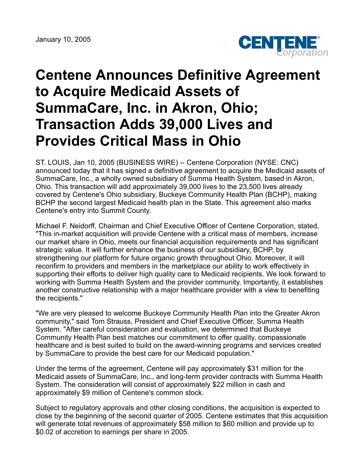January 10, 2005



## **Centene Announces Definitive Agreement to Acquire Medicaid Assets of SummaCare, Inc. in Akron, Ohio; Transaction Adds 39,000 Lives and Provides Critical Mass in Ohio**

ST. LOUIS, Jan 10, 2005 (BUSINESS WIRE) -- Centene Corporation (NYSE: CNC) announced today that it has signed a definitive agreement to acquire the Medicaid assets of SummaCare, Inc., a wholly owned subsidiary of Summa Health System, based in Akron, Ohio. This transaction will add approximately 39,000 lives to the 23,500 lives already covered by Centene's Ohio subsidiary, Buckeye Community Health Plan (BCHP), making BCHP the second largest Medicaid health plan in the State. This agreement also marks Centene's entry into Summit County.

Michael F. Neidorff, Chairman and Chief Executive Officer of Centene Corporation, stated, "This in-market acquisition will provide Centene with a critical mass of members, increase our market share in Ohio, meets our financial acquisition requirements and has significant strategic value. It will further enhance the business of our subsidiary, BCHP, by strengthening our platform for future organic growth throughout Ohio. Moreover, it will reconfirm to providers and members in the marketplace our ability to work effectively in supporting their efforts to deliver high quality care to Medicaid recipients. We look forward to working with Summa Health System and the provider community. Importantly, it establishes another constructive relationship with a major healthcare provider with a view to benefiting the recipients."

"We are very pleased to welcome Buckeye Community Health Plan into the Greater Akron community," said Tom Strauss, President and Chief Executive Officer, Summa Health System. "After careful consideration and evaluation, we determined that Buckeye Community Health Plan best matches our commitment to offer quality, compassionate healthcare and is best suited to build on the award-winning programs and services created by SummaCare to provide the best care for our Medicaid population."

Under the terms of the agreement, Centene will pay approximately \$31 million for the Medicaid assets of SummaCare, Inc., and long-term provider contracts with Summa Health System. The consideration will consist of approximately \$22 million in cash and approximately \$9 million of Centene's common stock.

Subject to regulatory approvals and other closing conditions, the acquisition is expected to close by the beginning of the second quarter of 2005. Centene estimates that this acquisition will generate total revenues of approximately \$58 million to \$60 million and provide up to \$0.02 of accretion to earnings per share in 2005.